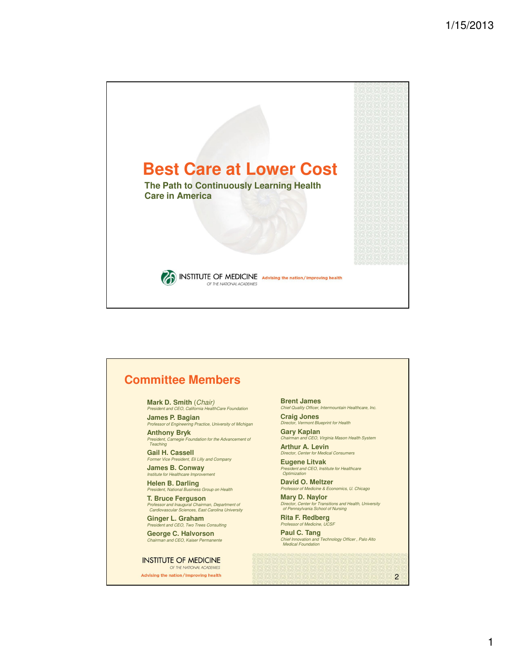

## **Committee Members**

**Mark D. Smith** (Chair)

President and CEO, California HealthCare Foundation **James P. Bagian**

Professor of Engineering Practice, University of Michigan **Anthony Bryk**

President, Carnegie Foundation for the Advancement of Teaching

**Gail H. Cassell** Former Vice President, Eli Lilly and Company **James B. Conway**

Institute for Healthcare Improvement **Helen B. Darling**

President, National Business Group on Health **T. Bruce Ferguson**

Professor and Inaugural Chairman, Department of Cardiovascular Sciences, East Carolina University

**Ginger L. Graham** President and CEO, Two Trees Consulting **George C. Halvorson** Chairman and CEO, Kaiser Permanente

**INSTITUTE OF MEDICINE** OF THE NATIONAL ACADEMIES

Advising the nation/Improving health

**Brent James**

Chief Quality Officer, Intermountain Healthcare, Inc.

**Craig Jones** Director, Vermont Blueprint for Health

**Gary Kaplan** Chairman and CEO, Virginia Mason Health System

**Arthur A. Levin** Director, Center for Medical Consumers

**Eugene Litvak** President and CEO, Institute for Healthcare Optimization

**David O. Meltzer** Professor of Medicine & Economics, U. Chicago

**Mary D. Naylor** Director, Center for Transitions and Health, University of Pennsylvania School of Nursing

**Rita F. Redberg** Professor of Medicine, UC

**Paul C. Tang**<br>Chief Innovation and Technology Officer, Palo Alto<br>Medical Foundation

2

1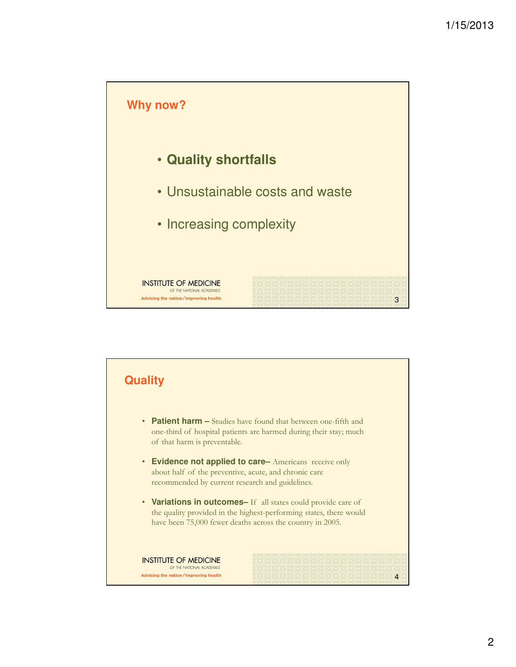

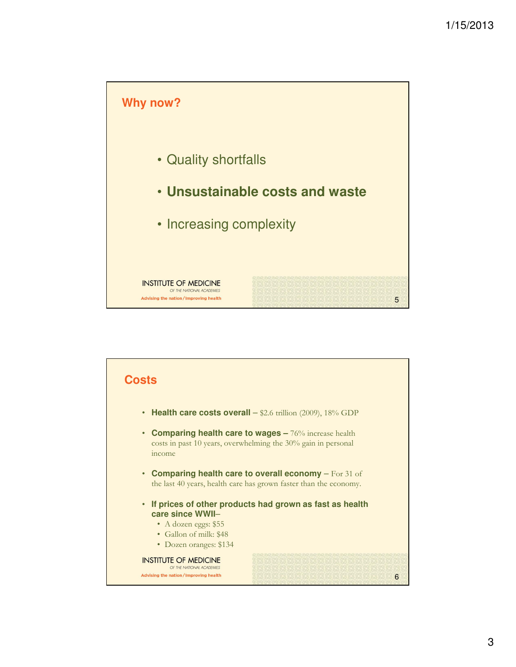

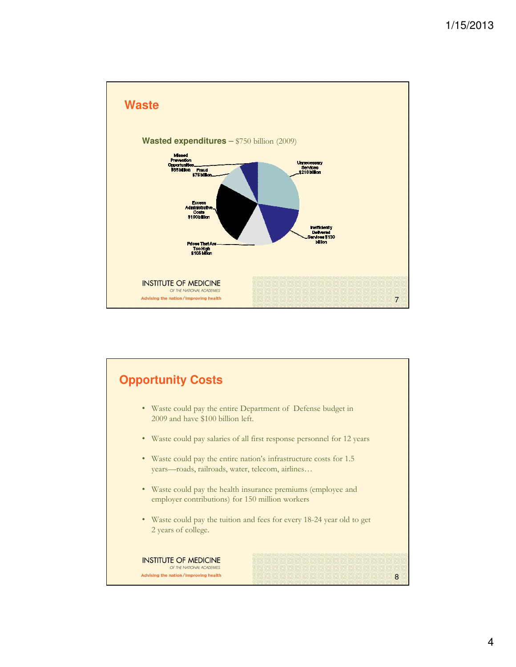

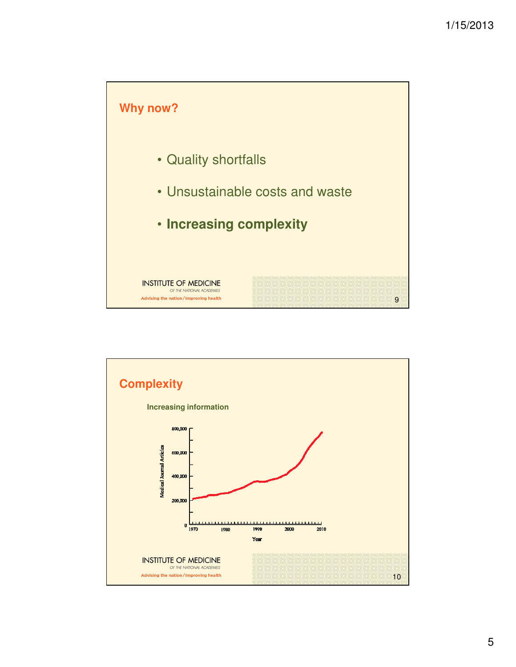

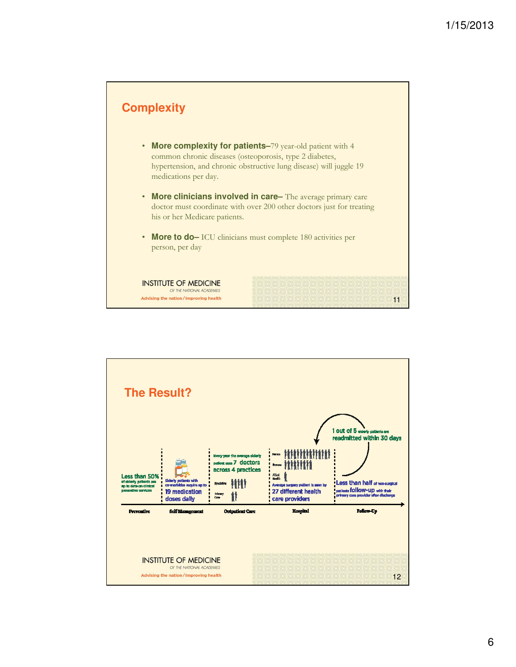

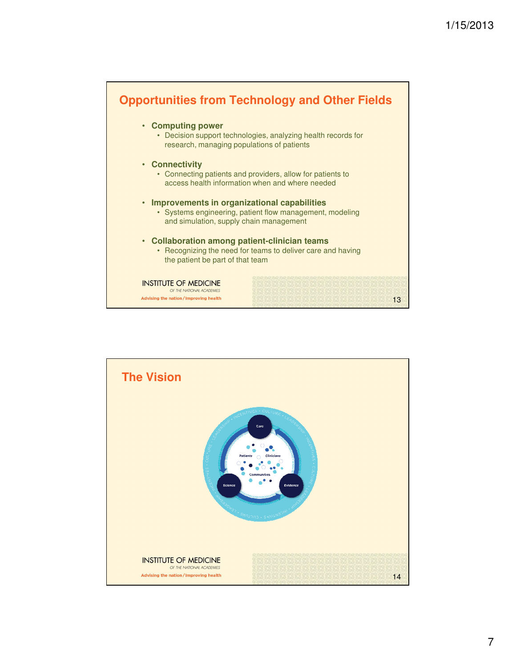

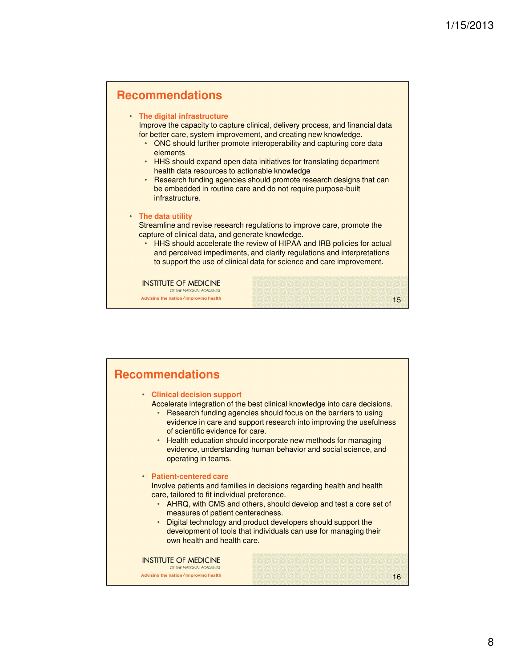

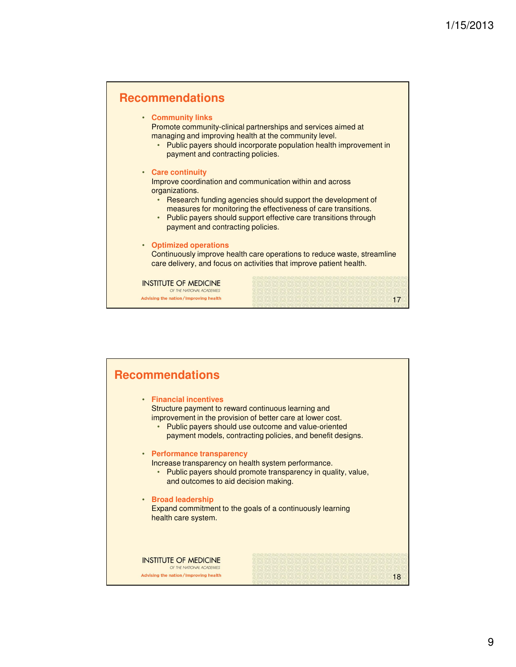

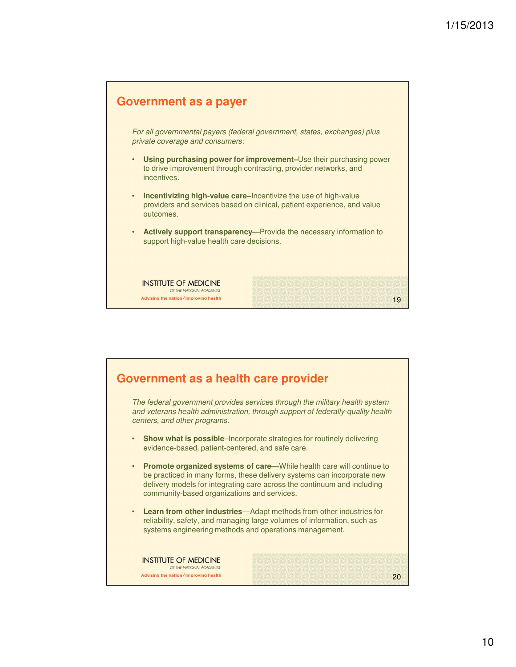

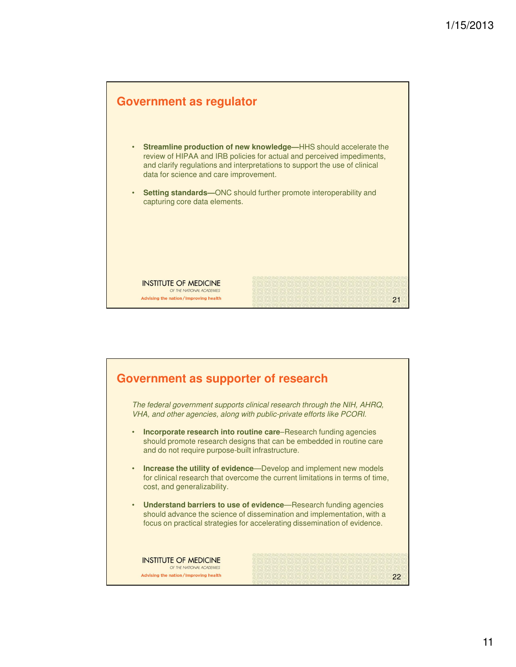